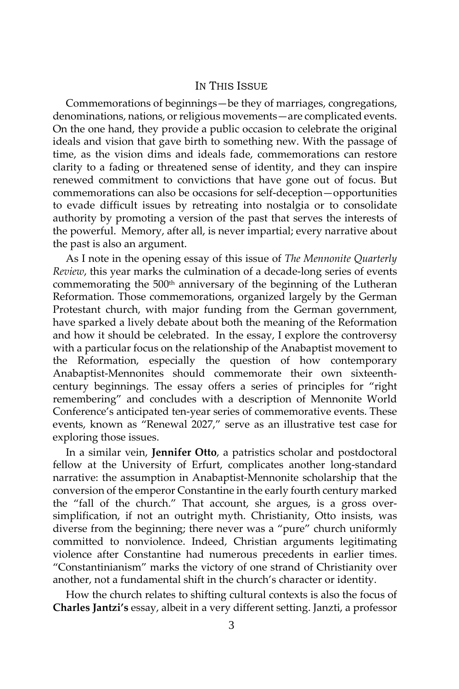## IN THIS ISSUE

Commemorations of beginnings—be they of marriages, congregations, denominations, nations, or religious movements—are complicated events. On the one hand, they provide a public occasion to celebrate the original ideals and vision that gave birth to something new. With the passage of time, as the vision dims and ideals fade, commemorations can restore clarity to a fading or threatened sense of identity, and they can inspire renewed commitment to convictions that have gone out of focus. But commemorations can also be occasions for self-deception—opportunities to evade difficult issues by retreating into nostalgia or to consolidate authority by promoting a version of the past that serves the interests of the powerful. Memory, after all, is never impartial; every narrative about the past is also an argument.

As I note in the opening essay of this issue of *The Mennonite Quarterly Review*, this year marks the culmination of a decade-long series of events commemorating the 500<sup>th</sup> anniversary of the beginning of the Lutheran Reformation. Those commemorations, organized largely by the German Protestant church, with major funding from the German government, have sparked a lively debate about both the meaning of the Reformation and how it should be celebrated. In the essay, I explore the controversy with a particular focus on the relationship of the Anabaptist movement to the Reformation, especially the question of how contemporary Anabaptist-Mennonites should commemorate their own sixteenthcentury beginnings. The essay offers a series of principles for "right remembering" and concludes with a description of Mennonite World Conference's anticipated ten-year series of commemorative events. These events, known as "Renewal 2027," serve as an illustrative test case for exploring those issues.

In a similar vein, **Jennifer Otto**, a patristics scholar and postdoctoral fellow at the University of Erfurt, complicates another long-standard narrative: the assumption in Anabaptist-Mennonite scholarship that the conversion of the emperor Constantine in the early fourth century marked the "fall of the church." That account, she argues, is a gross oversimplification, if not an outright myth. Christianity, Otto insists, was diverse from the beginning; there never was a "pure" church uniformly committed to nonviolence. Indeed, Christian arguments legitimating violence after Constantine had numerous precedents in earlier times. "Constantinianism" marks the victory of one strand of Christianity over another, not a fundamental shift in the church's character or identity.

How the church relates to shifting cultural contexts is also the focus of **Charles Jantzi's** essay, albeit in a very different setting. Janzti, a professor